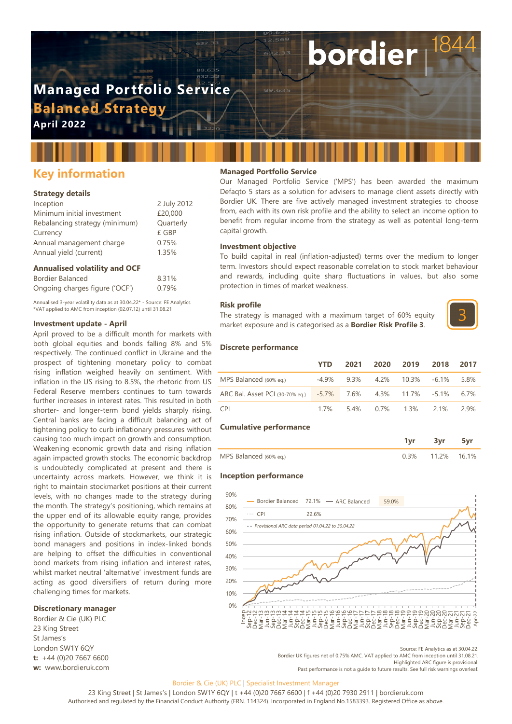## **Managed Portfolio Service Balanced Strategy**

**April 2022**

### **Key information**

#### **Strategy details**

| Inception                      | 2 July 2012 |
|--------------------------------|-------------|
| Minimum initial investment     | £20,000     |
| Rebalancing strategy (minimum) | Quarterly   |
| Currency                       | £ GBP       |
| Annual management charge       | 0.75%       |
| Annual yield (current)         | 1.35%       |
|                                |             |

#### **Annualised volatility and OCF**

| Bordier Balanced               | 8.31% |
|--------------------------------|-------|
| Ongoing charges figure ('OCF') | 0.79% |

Annualised 3-year volatility data as at 30.04.22\* - Source: FE Analytics \*VAT applied to AMC from inception (02.07.12) until 31.08.21

#### **Investment update - April**

April proved to be a difficult month for markets with both global equities and bonds falling 8% and 5% respectively. The continued conflict in Ukraine and the prospect of tightening monetary policy to combat rising inflation weighed heavily on sentiment. With inflation in the US rising to 8.5%, the rhetoric from US Federal Reserve members continues to turn towards further increases in interest rates. This resulted in both shorter- and longer-term bond yields sharply rising. Central banks are facing a difficult balancing act of tightening policy to curb inflationary pressures without causing too much impact on growth and consumption. Weakening economic growth data and rising inflation again impacted growth stocks. The economic backdrop is undoubtedly complicated at present and there is uncertainty across markets. However, we think it is right to maintain stockmarket positions at their current levels, with no changes made to the strategy during the month. The strategy's positioning, which remains at the upper end of its allowable equity range, provides the opportunity to generate returns that can combat rising inflation. Outside of stockmarkets, our strategic bond managers and positions in index-linked bonds are helping to offset the difficulties in conventional bond markets from rising inflation and interest rates, whilst market neutral 'alternative' investment funds are acting as good diversifiers of return during more challenging times for markets.

#### **Discretionary manager**

Bordier & Cie (UK) PLC 23 King Street St James's London SW1Y 6QY **t:** +44 (0)20 7667 6600 **w:** www.bordieruk.com

#### **Managed Portfolio Service**

Our Managed Portfolio Service ('MPS') has been awarded the maximum Defaqto 5 stars as a solution for advisers to manage client assets directly with Bordier UK. There are five actively managed investment strategies to choose from, each with its own risk profile and the ability to select an income option to benefit from regular income from the strategy as well as potential long-term capital growth.

bordier

#### **Investment objective**

To build capital in real (inflation-adjusted) terms over the medium to longer term. Investors should expect reasonable correlation to stock market behaviour and rewards, including quite sharp fluctuations in values, but also some protection in times of market weakness.

#### **Risk profile**

The strategy is managed with a maximum target of 60% equity market exposure and is categorised as a **Bordier Risk Profile 3**.



#### **Discrete performance**

|                                                                  | <b>YTD</b> |  | 2021 2020 2019                         | 2018 | 2017  |
|------------------------------------------------------------------|------------|--|----------------------------------------|------|-------|
| MPS Balanced (60% eg.)                                           |            |  | $-4.9\%$ 9.3% 4.2% 10.3% $-6.1\%$ 5.8% |      |       |
| ARC Bal. Asset PCI (30-70% eq.) -5.7% 7.6% 4.3% 11.7% -5.1% 6.7% |            |  |                                        |      |       |
| CPI <sup>-</sup>                                                 |            |  | 1.7% 5.4% 0.7% 1.3% 2.1%               |      | -2.9% |

#### **Cumulative performance**

|                        |         | 3vr         |  |
|------------------------|---------|-------------|--|
| MPS Balanced (60% eq.) | $0.3\%$ | 11.2% 16.1% |  |

#### **Inception performance**



Source: FE Analytics as at 30.04.22.

Bordier UK figures net of 0.75% AMC. VAT applied to AMC from inception until 31.08.21. Highlighted ARC figure is provisional.

Past performance is not a guide to future results. See full risk warnings overleaf.

#### Bordier & Cie (UK) PLC | Specialist Investment Manager

23 King Street | St James's | London SW1Y 6QY | t +44 (0)20 7667 6600 | f +44 (0)20 7930 2911 | bordieruk.com Authorised and regulated by the Financial Conduct Authority (FRN. 114324). Incorporated in England No.1583393. Registered Office as above.